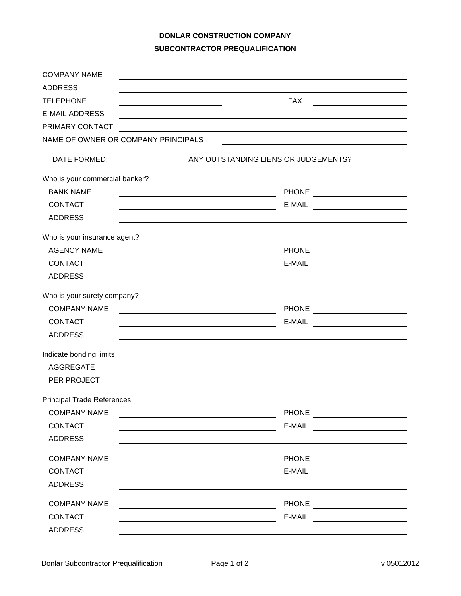## **DONLAR CONSTRUCTION COMPANY SUBCONTRACTOR PREQUALIFICATION**

| <b>COMPANY NAME</b>                 |                                                                                                                                                                                                                                                                                                                                                                                                                                                                                                                                                                                                          |
|-------------------------------------|----------------------------------------------------------------------------------------------------------------------------------------------------------------------------------------------------------------------------------------------------------------------------------------------------------------------------------------------------------------------------------------------------------------------------------------------------------------------------------------------------------------------------------------------------------------------------------------------------------|
| <b>ADDRESS</b>                      |                                                                                                                                                                                                                                                                                                                                                                                                                                                                                                                                                                                                          |
| <b>TELEPHONE</b>                    | <b>FAX</b><br><u> 1980 - Johann Barbara, martxa a shekara 1980 - An</u><br><u> 1989 - Johann Barn, amerikansk politiker (</u>                                                                                                                                                                                                                                                                                                                                                                                                                                                                            |
| <b>E-MAIL ADDRESS</b>               |                                                                                                                                                                                                                                                                                                                                                                                                                                                                                                                                                                                                          |
| PRIMARY CONTACT                     |                                                                                                                                                                                                                                                                                                                                                                                                                                                                                                                                                                                                          |
| NAME OF OWNER OR COMPANY PRINCIPALS |                                                                                                                                                                                                                                                                                                                                                                                                                                                                                                                                                                                                          |
| DATE FORMED:                        | ANY OUTSTANDING LIENS OR JUDGEMENTS?                                                                                                                                                                                                                                                                                                                                                                                                                                                                                                                                                                     |
| Who is your commercial banker?      |                                                                                                                                                                                                                                                                                                                                                                                                                                                                                                                                                                                                          |
| <b>BANK NAME</b>                    | <u> 1989 - Johann Barn, fransk politik amerikansk politik (</u>                                                                                                                                                                                                                                                                                                                                                                                                                                                                                                                                          |
| <b>CONTACT</b>                      | E-MAIL ________________________                                                                                                                                                                                                                                                                                                                                                                                                                                                                                                                                                                          |
| <b>ADDRESS</b>                      |                                                                                                                                                                                                                                                                                                                                                                                                                                                                                                                                                                                                          |
| Who is your insurance agent?        |                                                                                                                                                                                                                                                                                                                                                                                                                                                                                                                                                                                                          |
| <b>AGENCY NAME</b>                  | <u> 1989 - Johann Stoff, fransk politik (d. 1989)</u>                                                                                                                                                                                                                                                                                                                                                                                                                                                                                                                                                    |
| <b>CONTACT</b>                      |                                                                                                                                                                                                                                                                                                                                                                                                                                                                                                                                                                                                          |
| <b>ADDRESS</b>                      |                                                                                                                                                                                                                                                                                                                                                                                                                                                                                                                                                                                                          |
| Who is your surety company?         |                                                                                                                                                                                                                                                                                                                                                                                                                                                                                                                                                                                                          |
| <b>COMPANY NAME</b>                 | <u> 1980 - Johann Barbara, martxa alemaniar arg</u>                                                                                                                                                                                                                                                                                                                                                                                                                                                                                                                                                      |
| <b>CONTACT</b>                      | E-MAIL<br><u> Terminal de la propincia de la propincia de la propincia de la propincia de la propincia de la propincia de l</u>                                                                                                                                                                                                                                                                                                                                                                                                                                                                          |
| <b>ADDRESS</b>                      |                                                                                                                                                                                                                                                                                                                                                                                                                                                                                                                                                                                                          |
| Indicate bonding limits             |                                                                                                                                                                                                                                                                                                                                                                                                                                                                                                                                                                                                          |
| <b>AGGREGATE</b>                    |                                                                                                                                                                                                                                                                                                                                                                                                                                                                                                                                                                                                          |
| PER PROJECT                         |                                                                                                                                                                                                                                                                                                                                                                                                                                                                                                                                                                                                          |
| <b>Principal Trade References</b>   |                                                                                                                                                                                                                                                                                                                                                                                                                                                                                                                                                                                                          |
| <b>COMPANY NAME</b>                 | PHONE _______________________<br><u> 1989 - Johann Stoff, Amerikaansk politiker (</u> † 1908)                                                                                                                                                                                                                                                                                                                                                                                                                                                                                                            |
| <b>CONTACT</b>                      | E-MAIL ________________________                                                                                                                                                                                                                                                                                                                                                                                                                                                                                                                                                                          |
| <b>ADDRESS</b>                      |                                                                                                                                                                                                                                                                                                                                                                                                                                                                                                                                                                                                          |
| <b>COMPANY NAME</b>                 | PHONE ________________________                                                                                                                                                                                                                                                                                                                                                                                                                                                                                                                                                                           |
| <b>CONTACT</b>                      | E-MAIL <u>__________________</u><br><u> 1989 - Johann Stoff, deutscher Stoffen und der Stoffen und der Stoffen und der Stoffen und der Stoffen und der</u>                                                                                                                                                                                                                                                                                                                                                                                                                                               |
| <b>ADDRESS</b>                      |                                                                                                                                                                                                                                                                                                                                                                                                                                                                                                                                                                                                          |
| <b>COMPANY NAME</b>                 | PHONE ________________________<br><u> 1980 - Johann Barbara, martxa alemaniar amerikan a</u>                                                                                                                                                                                                                                                                                                                                                                                                                                                                                                             |
| CONTACT                             | $E-MAIL$ $\underline{\qquad}$ $\underline{\qquad}$ $\underline{\qquad}$ $\underline{\qquad}$ $\underline{\qquad}$ $\underline{\qquad}$ $\underline{\qquad}$ $\underline{\qquad}$ $\underline{\qquad}$ $\underline{\qquad}$ $\underline{\qquad}$ $\underline{\qquad}$ $\underline{\qquad}$ $\underline{\qquad}$ $\underline{\qquad}$ $\underline{\qquad}$ $\underline{\qquad}$ $\underline{\qquad}$ $\underline{\qquad}$ $\underline{\qquad}$ $\underline{\qquad}$ $\underline{\$<br><u> 1980 - Johann Barn, mars ann an t-Amhain Aonaich an t-Aonaich an t-Aonaich ann an t-Aonaich ann an t-Aonaich</u> |
| <b>ADDRESS</b>                      |                                                                                                                                                                                                                                                                                                                                                                                                                                                                                                                                                                                                          |